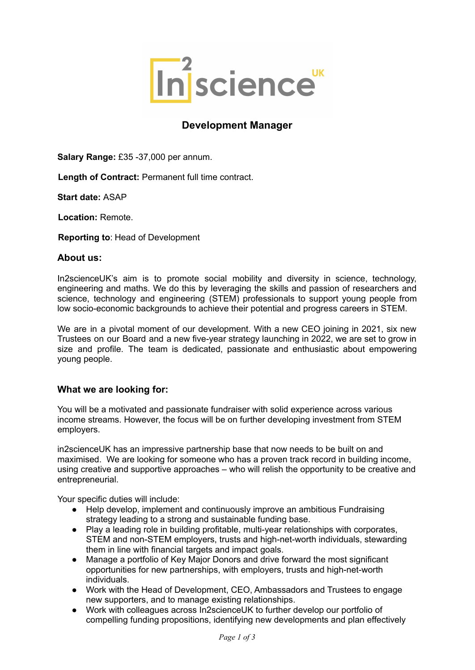

# **Development Manager**

**Salary Range:** £35 -37,000 per annum.

**Length of Contract:** Permanent full time contract.

**Start date:** ASAP

**Location:** Remote.

**Reporting to**: Head of Development

### **About us:**

In2scienceUK's aim is to promote social mobility and diversity in science, technology, engineering and maths. We do this by leveraging the skills and passion of researchers and science, technology and engineering (STEM) professionals to support young people from low socio-economic backgrounds to achieve their potential and progress careers in STEM.

We are in a pivotal moment of our development. With a new CEO joining in 2021, six new Trustees on our Board and a new five-year strategy launching in 2022, we are set to grow in size and profile. The team is dedicated, passionate and enthusiastic about empowering young people.

## **What we are looking for:**

You will be a motivated and passionate fundraiser with solid experience across various income streams. However, the focus will be on further developing investment from STEM employers.

in2scienceUK has an impressive partnership base that now needs to be built on and maximised. We are looking for someone who has a proven track record in building income, using creative and supportive approaches – who will relish the opportunity to be creative and entrepreneurial.

Your specific duties will include:

- Help develop, implement and continuously improve an ambitious Fundraising strategy leading to a strong and sustainable funding base.
- Play a leading role in building profitable, multi-year relationships with corporates, STEM and non-STEM employers, trusts and high-net-worth individuals, stewarding them in line with financial targets and impact goals.
- Manage a portfolio of Key Major Donors and drive forward the most significant opportunities for new partnerships, with employers, trusts and high-net-worth individuals.
- Work with the Head of Development, CEO, Ambassadors and Trustees to engage new supporters, and to manage existing relationships.
- Work with colleagues across In2scienceUK to further develop our portfolio of compelling funding propositions, identifying new developments and plan effectively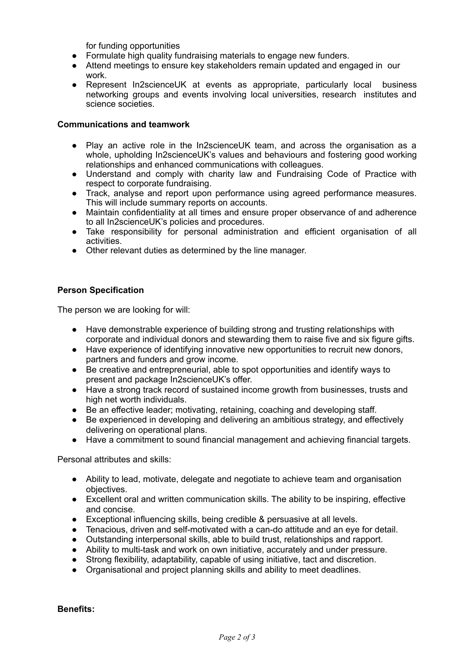for funding opportunities

- Formulate high quality fundraising materials to engage new funders.
- Attend meetings to ensure key stakeholders remain updated and engaged in our work.
- Represent In2scienceUK at events as appropriate, particularly local business networking groups and events involving local universities, research institutes and science societies.

#### **Communications and teamwork**

- Play an active role in the In2scienceUK team, and across the organisation as a whole, upholding In2scienceUK's values and behaviours and fostering good working relationships and enhanced communications with colleagues.
- Understand and comply with charity law and Fundraising Code of Practice with respect to corporate fundraising.
- Track, analyse and report upon performance using agreed performance measures. This will include summary reports on accounts.
- Maintain confidentiality at all times and ensure proper observance of and adherence to all In2scienceUK's policies and procedures.
- Take responsibility for personal administration and efficient organisation of all activities.
- Other relevant duties as determined by the line manager.

#### **Person Specification**

The person we are looking for will:

- Have demonstrable experience of building strong and trusting relationships with corporate and individual donors and stewarding them to raise five and six figure gifts.
- Have experience of identifying innovative new opportunities to recruit new donors, partners and funders and grow income.
- Be creative and entrepreneurial, able to spot opportunities and identify ways to present and package In2scienceUK's offer.
- Have a strong track record of sustained income growth from businesses, trusts and high net worth individuals.
- Be an effective leader; motivating, retaining, coaching and developing staff.
- Be experienced in developing and delivering an ambitious strategy, and effectively delivering on operational plans.
- Have a commitment to sound financial management and achieving financial targets.

Personal attributes and skills:

- Ability to lead, motivate, delegate and negotiate to achieve team and organisation objectives.
- Excellent oral and written communication skills. The ability to be inspiring, effective and concise.
- Exceptional influencing skills, being credible & persuasive at all levels.
- Tenacious, driven and self-motivated with a can-do attitude and an eye for detail.
- Outstanding interpersonal skills, able to build trust, relationships and rapport.
- Ability to multi-task and work on own initiative, accurately and under pressure.
- Strong flexibility, adaptability, capable of using initiative, tact and discretion.
- Organisational and project planning skills and ability to meet deadlines.

**Benefits:**